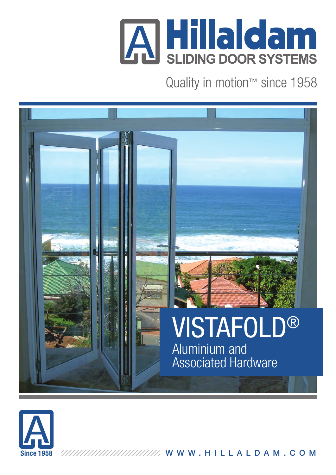

Quality in motion™ since 1958





WWW.HILLALDAM.COM,,,,,,,,,,,,,,,,,,,,,,,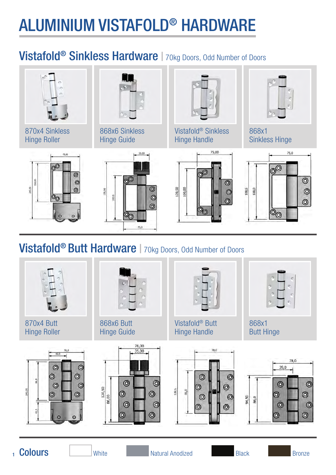# ALUMINIUM VISTAFOLD® HARDWARE

## Vistafold<sup>®</sup> Sinkless Hardware | 70kg Doors, Odd Number of Doors



### Vistafold<sup>®</sup> Butt Hardware | 70kg Doors, Odd Number of Doors



<sub>1</sub> Colours

Colours Natural Anodized Black Bronze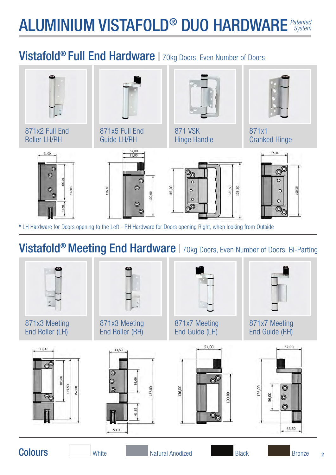### ALUMINIUM VISTAFOLD® DUO HARDWARE *Patented System*

## Vistafold<sup>®</sup> Full End Hardware | 70kg Doors, Even Number of Doors



## Vistafold<sup>®</sup> Meeting End Hardware | 70kg Doors, Even Number of Doors, Bi-Parting



2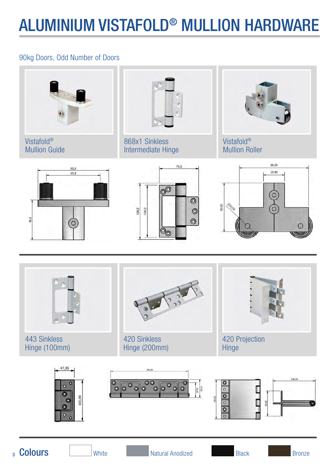## ALUMINIUM VISTAFOLD® MULLION HARDWARE

### 90kg Doors, Odd Number of Doors



Vistafold® Mullion Guide

868x1 Sinkless Intermediate Hinge

Vistafold® Mullion Roller







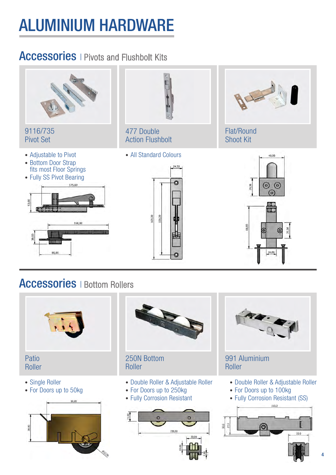# ALUMINIUM HARDWARE

## **Accessories** | Pivots and Flushbolt Kits



- Single Roller
- For Doors up to 50kg



Roller

- Double Roller & Adjustable Roller
- For Doors up to 250kg
- Fully Corrosion Resistant





- Double Roller & Adjustable Roller
- For Doors up to 100kg
- Fully Corrosion Resistant (SS)

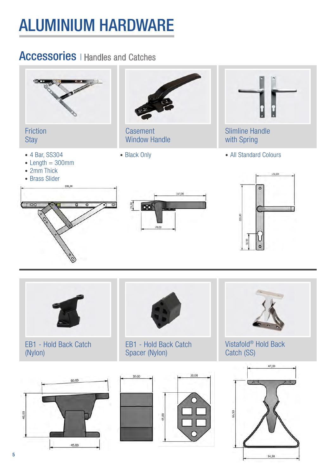# ALUMINIUM HARDWARE

### **Accessories** | Handles and Catches



54,50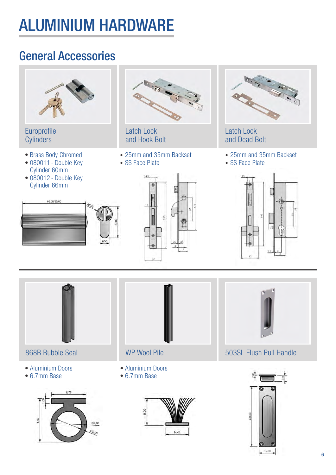# ALUMINIUM HARDWARE

## General Accessories



Europrofile **Cylinders** 

- Brass Body Chromed
- 080011 Double Key Cylinder 60mm
- 080012 Double Key Cylinder 66mm





Latch Lock and Hook Bolt

- 25mm and 35mm Backset
- SS Face Plate

14.9

ŘŹ.



Latch Lock and Dead Bolt

- 25mm and 35mm Backset
- SS Face Plate





868B Bubble Seal

- Aluminium Doors
- 6.7mm Base





- Aluminium Doors
- 6.7mm Base





WP Wool Pile **1988** 503SL Flush Pull Handle